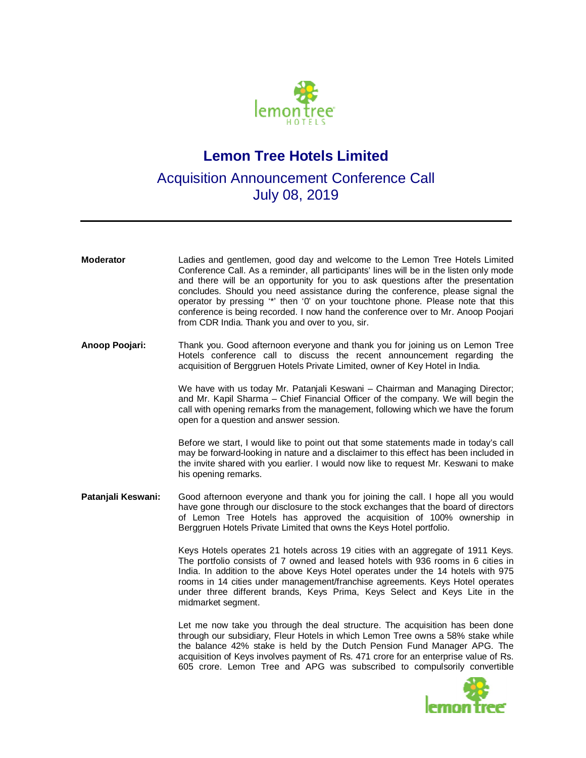

## **Lemon Tree Hotels Limited**

## Acquisition Announcement Conference Call July 08, 2019

| <b>Moderator</b>   | Ladies and gentlemen, good day and welcome to the Lemon Tree Hotels Limited<br>Conference Call. As a reminder, all participants' lines will be in the listen only mode<br>and there will be an opportunity for you to ask questions after the presentation<br>concludes. Should you need assistance during the conference, please signal the<br>operator by pressing "*' then '0' on your touchtone phone. Please note that this<br>conference is being recorded. I now hand the conference over to Mr. Anoop Poojari<br>from CDR India. Thank you and over to you, sir. |
|--------------------|--------------------------------------------------------------------------------------------------------------------------------------------------------------------------------------------------------------------------------------------------------------------------------------------------------------------------------------------------------------------------------------------------------------------------------------------------------------------------------------------------------------------------------------------------------------------------|
| Anoop Poojari:     | Thank you. Good afternoon everyone and thank you for joining us on Lemon Tree<br>Hotels conference call to discuss the recent announcement regarding the<br>acquisition of Berggruen Hotels Private Limited, owner of Key Hotel in India.                                                                                                                                                                                                                                                                                                                                |
|                    | We have with us today Mr. Patanjali Keswani - Chairman and Managing Director;<br>and Mr. Kapil Sharma - Chief Financial Officer of the company. We will begin the<br>call with opening remarks from the management, following which we have the forum<br>open for a question and answer session.                                                                                                                                                                                                                                                                         |
|                    | Before we start, I would like to point out that some statements made in today's call<br>may be forward-looking in nature and a disclaimer to this effect has been included in<br>the invite shared with you earlier. I would now like to request Mr. Keswani to make<br>his opening remarks.                                                                                                                                                                                                                                                                             |
| Patanjali Keswani: | Good afternoon everyone and thank you for joining the call. I hope all you would<br>have gone through our disclosure to the stock exchanges that the board of directors<br>of Lemon Tree Hotels has approved the acquisition of 100% ownership in<br>Berggruen Hotels Private Limited that owns the Keys Hotel portfolio.                                                                                                                                                                                                                                                |
|                    | Keys Hotels operates 21 hotels across 19 cities with an aggregate of 1911 Keys.<br>The portfolio consists of 7 owned and leased hotels with 936 rooms in 6 cities in<br>India. In addition to the above Keys Hotel operates under the 14 hotels with 975<br>rooms in 14 cities under management/franchise agreements. Keys Hotel operates<br>under three different brands, Keys Prima, Keys Select and Keys Lite in the<br>midmarket segment.                                                                                                                            |
|                    | Let me now take you through the deal structure. The acquisition has been done<br>through our subsidiary, Fleur Hotels in which Lemon Tree owns a 58% stake while<br>the balance 42% stake is held by the Dutch Pension Fund Manager APG. The<br>acquisition of Keys involves payment of Rs. 471 crore for an enterprise value of Rs.<br>605 crore. Lemon Tree and APG was subscribed to compulsorily convertible                                                                                                                                                         |
|                    |                                                                                                                                                                                                                                                                                                                                                                                                                                                                                                                                                                          |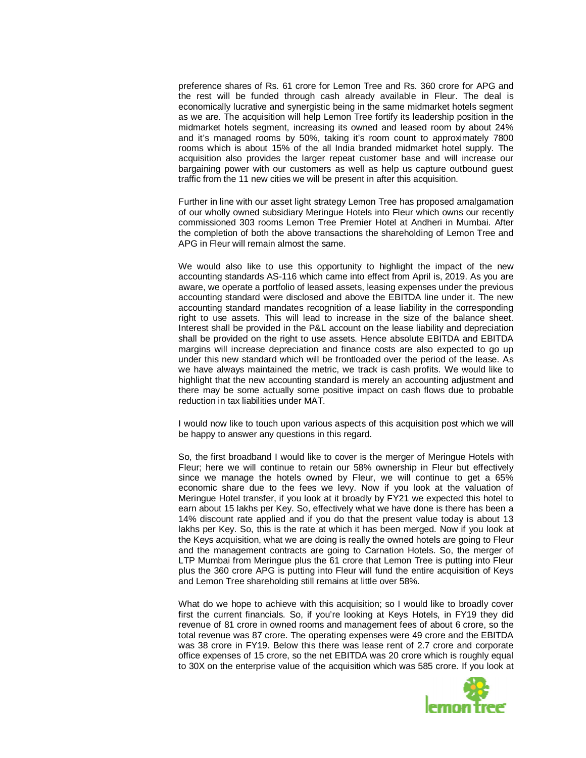preference shares of Rs. 61 crore for Lemon Tree and Rs. 360 crore for APG and the rest will be funded through cash already available in Fleur. The deal is economically lucrative and synergistic being in the same midmarket hotels segment as we are. The acquisition will help Lemon Tree fortify its leadership position in the midmarket hotels segment, increasing its owned and leased room by about 24% and it's managed rooms by 50%, taking it's room count to approximately 7800 rooms which is about 15% of the all India branded midmarket hotel supply. The acquisition also provides the larger repeat customer base and will increase our bargaining power with our customers as well as help us capture outbound guest traffic from the 11 new cities we will be present in after this acquisition.

Further in line with our asset light strategy Lemon Tree has proposed amalgamation of our wholly owned subsidiary Meringue Hotels into Fleur which owns our recently commissioned 303 rooms Lemon Tree Premier Hotel at Andheri in Mumbai. After the completion of both the above transactions the shareholding of Lemon Tree and APG in Fleur will remain almost the same.

We would also like to use this opportunity to highlight the impact of the new accounting standards AS-116 which came into effect from April is, 2019. As you are aware, we operate a portfolio of leased assets, leasing expenses under the previous accounting standard were disclosed and above the EBITDA line under it. The new accounting standard mandates recognition of a lease liability in the corresponding right to use assets. This will lead to increase in the size of the balance sheet. Interest shall be provided in the P&L account on the lease liability and depreciation shall be provided on the right to use assets. Hence absolute EBITDA and EBITDA margins will increase depreciation and finance costs are also expected to go up under this new standard which will be frontloaded over the period of the lease. As we have always maintained the metric, we track is cash profits. We would like to highlight that the new accounting standard is merely an accounting adjustment and there may be some actually some positive impact on cash flows due to probable reduction in tax liabilities under MAT.

I would now like to touch upon various aspects of this acquisition post which we will be happy to answer any questions in this regard.

So, the first broadband I would like to cover is the merger of Meringue Hotels with Fleur; here we will continue to retain our 58% ownership in Fleur but effectively since we manage the hotels owned by Fleur, we will continue to get a 65% economic share due to the fees we levy. Now if you look at the valuation of Meringue Hotel transfer, if you look at it broadly by FY21 we expected this hotel to earn about 15 lakhs per Key. So, effectively what we have done is there has been a 14% discount rate applied and if you do that the present value today is about 13 lakhs per Key. So, this is the rate at which it has been merged. Now if you look at the Keys acquisition, what we are doing is really the owned hotels are going to Fleur and the management contracts are going to Carnation Hotels. So, the merger of LTP Mumbai from Meringue plus the 61 crore that Lemon Tree is putting into Fleur plus the 360 crore APG is putting into Fleur will fund the entire acquisition of Keys and Lemon Tree shareholding still remains at little over 58%.

What do we hope to achieve with this acquisition; so I would like to broadly cover first the current financials. So, if you're looking at Keys Hotels, in FY19 they did revenue of 81 crore in owned rooms and management fees of about 6 crore, so the total revenue was 87 crore. The operating expenses were 49 crore and the EBITDA was 38 crore in FY19. Below this there was lease rent of 2.7 crore and corporate office expenses of 15 crore, so the net EBITDA was 20 crore which is roughly equal to 30X on the enterprise value of the acquisition which was 585 crore. If you look at

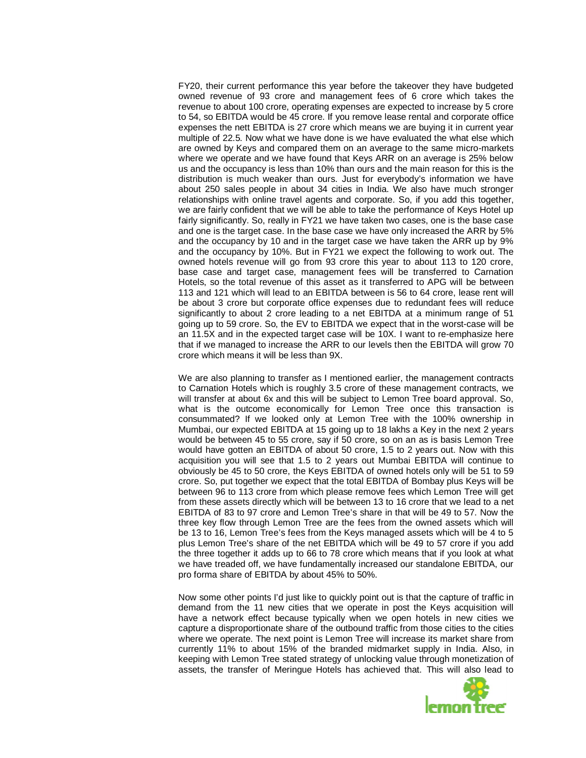FY20, their current performance this year before the takeover they have budgeted owned revenue of 93 crore and management fees of 6 crore which takes the revenue to about 100 crore, operating expenses are expected to increase by 5 crore to 54, so EBITDA would be 45 crore. If you remove lease rental and corporate office expenses the nett EBITDA is 27 crore which means we are buying it in current year multiple of 22.5. Now what we have done is we have evaluated the what else which are owned by Keys and compared them on an average to the same micro-markets where we operate and we have found that Keys ARR on an average is 25% below us and the occupancy is less than 10% than ours and the main reason for this is the distribution is much weaker than ours. Just for everybody's information we have about 250 sales people in about 34 cities in India. We also have much stronger relationships with online travel agents and corporate. So, if you add this together, we are fairly confident that we will be able to take the performance of Keys Hotel up fairly significantly. So, really in FY21 we have taken two cases, one is the base case and one is the target case. In the base case we have only increased the ARR by 5% and the occupancy by 10 and in the target case we have taken the ARR up by 9% and the occupancy by 10%. But in FY21 we expect the following to work out. The owned hotels revenue will go from 93 crore this year to about 113 to 120 crore, base case and target case, management fees will be transferred to Carnation Hotels, so the total revenue of this asset as it transferred to APG will be between 113 and 121 which will lead to an EBITDA between is 56 to 64 crore, lease rent will be about 3 crore but corporate office expenses due to redundant fees will reduce significantly to about 2 crore leading to a net EBITDA at a minimum range of 51 going up to 59 crore. So, the EV to EBITDA we expect that in the worst-case will be an 11.5X and in the expected target case will be 10X. I want to re-emphasize here that if we managed to increase the ARR to our levels then the EBITDA will grow 70 crore which means it will be less than 9X.

We are also planning to transfer as I mentioned earlier, the management contracts to Carnation Hotels which is roughly 3.5 crore of these management contracts, we will transfer at about 6x and this will be subject to Lemon Tree board approval. So, what is the outcome economically for Lemon Tree once this transaction is consummated? If we looked only at Lemon Tree with the 100% ownership in Mumbai, our expected EBITDA at 15 going up to 18 lakhs a Key in the next 2 years would be between 45 to 55 crore, say if 50 crore, so on an as is basis Lemon Tree would have gotten an EBITDA of about 50 crore, 1.5 to 2 years out. Now with this acquisition you will see that 1.5 to 2 years out Mumbai EBITDA will continue to obviously be 45 to 50 crore, the Keys EBITDA of owned hotels only will be 51 to 59 crore. So, put together we expect that the total EBITDA of Bombay plus Keys will be between 96 to 113 crore from which please remove fees which Lemon Tree will get from these assets directly which will be between 13 to 16 crore that we lead to a net EBITDA of 83 to 97 crore and Lemon Tree's share in that will be 49 to 57. Now the three key flow through Lemon Tree are the fees from the owned assets which will be 13 to 16, Lemon Tree's fees from the Keys managed assets which will be 4 to 5 plus Lemon Tree's share of the net EBITDA which will be 49 to 57 crore if you add the three together it adds up to 66 to 78 crore which means that if you look at what we have treaded off, we have fundamentally increased our standalone EBITDA, our pro forma share of EBITDA by about 45% to 50%.

Now some other points I'd just like to quickly point out is that the capture of traffic in demand from the 11 new cities that we operate in post the Keys acquisition will have a network effect because typically when we open hotels in new cities we capture a disproportionate share of the outbound traffic from those cities to the cities where we operate. The next point is Lemon Tree will increase its market share from currently 11% to about 15% of the branded midmarket supply in India. Also, in keeping with Lemon Tree stated strategy of unlocking value through monetization of assets, the transfer of Meringue Hotels has achieved that. This will also lead to

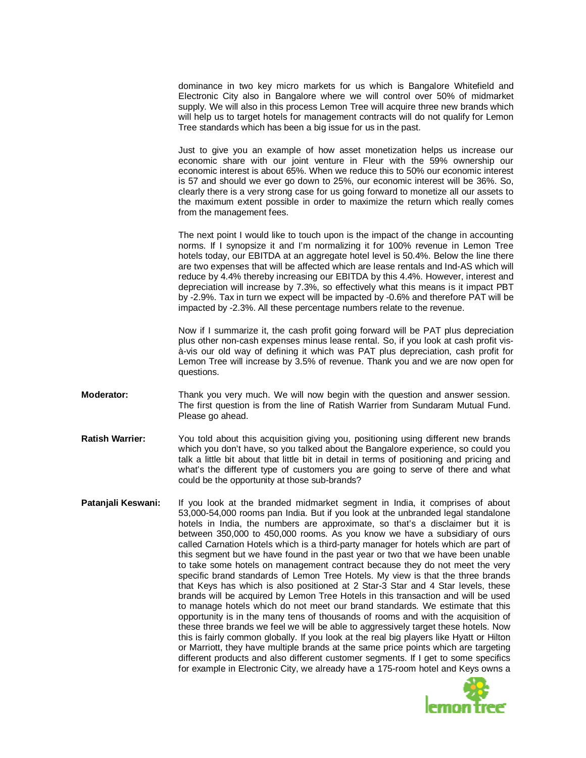dominance in two key micro markets for us which is Bangalore Whitefield and Electronic City also in Bangalore where we will control over 50% of midmarket supply. We will also in this process Lemon Tree will acquire three new brands which will help us to target hotels for management contracts will do not qualify for Lemon Tree standards which has been a big issue for us in the past.

Just to give you an example of how asset monetization helps us increase our economic share with our joint venture in Fleur with the 59% ownership our economic interest is about 65%. When we reduce this to 50% our economic interest is 57 and should we ever go down to 25%, our economic interest will be 36%. So, clearly there is a very strong case for us going forward to monetize all our assets to the maximum extent possible in order to maximize the return which really comes from the management fees.

The next point I would like to touch upon is the impact of the change in accounting norms. If I synopsize it and I'm normalizing it for 100% revenue in Lemon Tree hotels today, our EBITDA at an aggregate hotel level is 50.4%. Below the line there are two expenses that will be affected which are lease rentals and Ind-AS which will reduce by 4.4% thereby increasing our EBITDA by this 4.4%. However, interest and depreciation will increase by 7.3%, so effectively what this means is it impact PBT by -2.9%. Tax in turn we expect will be impacted by -0.6% and therefore PAT will be impacted by -2.3%. All these percentage numbers relate to the revenue.

Now if I summarize it, the cash profit going forward will be PAT plus depreciation plus other non-cash expenses minus lease rental. So, if you look at cash profit visà-vis our old way of defining it which was PAT plus depreciation, cash profit for Lemon Tree will increase by 3.5% of revenue. Thank you and we are now open for questions.

- **Moderator:** Thank you very much. We will now begin with the question and answer session. The first question is from the line of Ratish Warrier from Sundaram Mutual Fund. Please go ahead.
- **Ratish Warrier:** You told about this acquisition giving you, positioning using different new brands which you don't have, so you talked about the Bangalore experience, so could you talk a little bit about that little bit in detail in terms of positioning and pricing and what's the different type of customers you are going to serve of there and what could be the opportunity at those sub-brands?
- **Patanjali Keswani:** If you look at the branded midmarket segment in India, it comprises of about 53,000-54,000 rooms pan India. But if you look at the unbranded legal standalone hotels in India, the numbers are approximate, so that's a disclaimer but it is between 350,000 to 450,000 rooms. As you know we have a subsidiary of ours called Carnation Hotels which is a third-party manager for hotels which are part of this segment but we have found in the past year or two that we have been unable to take some hotels on management contract because they do not meet the very specific brand standards of Lemon Tree Hotels. My view is that the three brands that Keys has which is also positioned at 2 Star-3 Star and 4 Star levels, these brands will be acquired by Lemon Tree Hotels in this transaction and will be used to manage hotels which do not meet our brand standards. We estimate that this opportunity is in the many tens of thousands of rooms and with the acquisition of these three brands we feel we will be able to aggressively target these hotels. Now this is fairly common globally. If you look at the real big players like Hyatt or Hilton or Marriott, they have multiple brands at the same price points which are targeting different products and also different customer segments. If I get to some specifics for example in Electronic City, we already have a 175-room hotel and Keys owns a

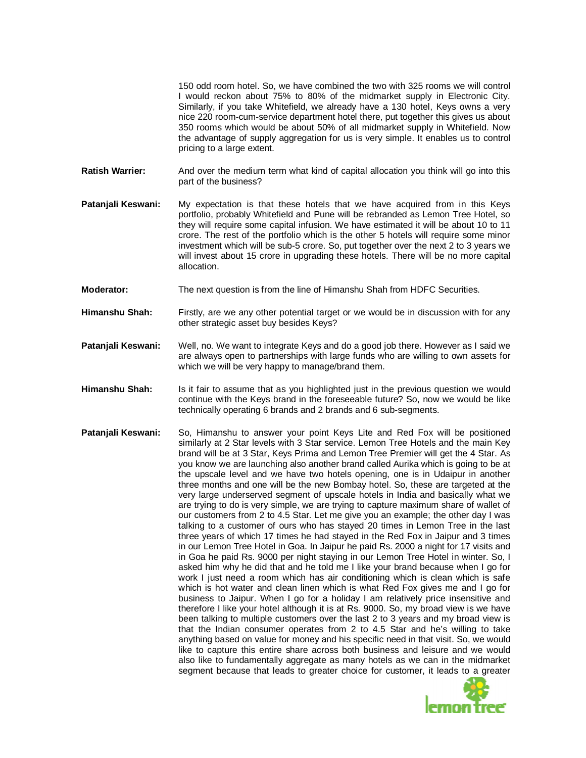150 odd room hotel. So, we have combined the two with 325 rooms we will control I would reckon about 75% to 80% of the midmarket supply in Electronic City. Similarly, if you take Whitefield, we already have a 130 hotel, Keys owns a very nice 220 room-cum-service department hotel there, put together this gives us about 350 rooms which would be about 50% of all midmarket supply in Whitefield. Now the advantage of supply aggregation for us is very simple. It enables us to control pricing to a large extent.

- **Ratish Warrier:** And over the medium term what kind of capital allocation you think will go into this part of the business?
- **Patanjali Keswani:** My expectation is that these hotels that we have acquired from in this Keys portfolio, probably Whitefield and Pune will be rebranded as Lemon Tree Hotel, so they will require some capital infusion. We have estimated it will be about 10 to 11 crore. The rest of the portfolio which is the other 5 hotels will require some minor investment which will be sub-5 crore. So, put together over the next 2 to 3 years we will invest about 15 crore in upgrading these hotels. There will be no more capital allocation.
- **Moderator:** The next question is from the line of Himanshu Shah from HDFC Securities.
- **Himanshu Shah:** Firstly, are we any other potential target or we would be in discussion with for any other strategic asset buy besides Keys?
- **Patanjali Keswani:** Well, no. We want to integrate Keys and do a good job there. However as I said we are always open to partnerships with large funds who are willing to own assets for which we will be very happy to manage/brand them.
- **Himanshu Shah:** Is it fair to assume that as you highlighted just in the previous question we would continue with the Keys brand in the foreseeable future? So, now we would be like technically operating 6 brands and 2 brands and 6 sub-segments.
- **Patanjali Keswani:** So, Himanshu to answer your point Keys Lite and Red Fox will be positioned similarly at 2 Star levels with 3 Star service. Lemon Tree Hotels and the main Key brand will be at 3 Star, Keys Prima and Lemon Tree Premier will get the 4 Star. As you know we are launching also another brand called Aurika which is going to be at the upscale level and we have two hotels opening, one is in Udaipur in another three months and one will be the new Bombay hotel. So, these are targeted at the very large underserved segment of upscale hotels in India and basically what we are trying to do is very simple, we are trying to capture maximum share of wallet of our customers from 2 to 4.5 Star. Let me give you an example; the other day I was talking to a customer of ours who has stayed 20 times in Lemon Tree in the last three years of which 17 times he had stayed in the Red Fox in Jaipur and 3 times in our Lemon Tree Hotel in Goa. In Jaipur he paid Rs. 2000 a night for 17 visits and in Goa he paid Rs. 9000 per night staying in our Lemon Tree Hotel in winter. So, I asked him why he did that and he told me I like your brand because when I go for work I just need a room which has air conditioning which is clean which is safe which is hot water and clean linen which is what Red Fox gives me and I go for business to Jaipur. When I go for a holiday I am relatively price insensitive and therefore I like your hotel although it is at Rs. 9000. So, my broad view is we have been talking to multiple customers over the last 2 to 3 years and my broad view is that the Indian consumer operates from 2 to 4.5 Star and he's willing to take anything based on value for money and his specific need in that visit. So, we would like to capture this entire share across both business and leisure and we would also like to fundamentally aggregate as many hotels as we can in the midmarket segment because that leads to greater choice for customer, it leads to a greater

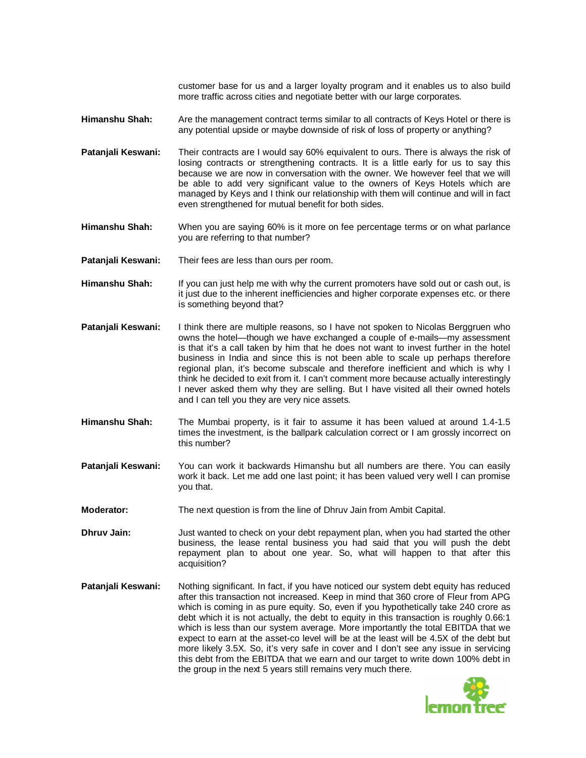customer base for us and a larger loyalty program and it enables us to also build more traffic across cities and negotiate better with our large corporates.

- **Himanshu Shah:** Are the management contract terms similar to all contracts of Keys Hotel or there is any potential upside or maybe downside of risk of loss of property or anything?
- **Patanjali Keswani:** Their contracts are I would say 60% equivalent to ours. There is always the risk of losing contracts or strengthening contracts. It is a little early for us to say this because we are now in conversation with the owner. We however feel that we will be able to add very significant value to the owners of Keys Hotels which are managed by Keys and I think our relationship with them will continue and will in fact even strengthened for mutual benefit for both sides.
- **Himanshu Shah:** When you are saying 60% is it more on fee percentage terms or on what parlance you are referring to that number?
- **Patanjali Keswani:** Their fees are less than ours per room.
- **Himanshu Shah:** If you can just help me with why the current promoters have sold out or cash out, is it just due to the inherent inefficiencies and higher corporate expenses etc. or there is something beyond that?
- **Patanjali Keswani:** I think there are multiple reasons, so I have not spoken to Nicolas Berggruen who owns the hotel—though we have exchanged a couple of e-mails—my assessment is that it's a call taken by him that he does not want to invest further in the hotel business in India and since this is not been able to scale up perhaps therefore regional plan, it's become subscale and therefore inefficient and which is why I think he decided to exit from it. I can't comment more because actually interestingly I never asked them why they are selling. But I have visited all their owned hotels and I can tell you they are very nice assets.
- **Himanshu Shah:** The Mumbai property, is it fair to assume it has been valued at around 1.4-1.5 times the investment, is the ballpark calculation correct or I am grossly incorrect on this number?
- **Patanjali Keswani:** You can work it backwards Himanshu but all numbers are there. You can easily work it back. Let me add one last point; it has been valued very well I can promise you that.
- **Moderator:** The next question is from the line of Dhruv Jain from Ambit Capital.
- **Dhruv Jain:** Just wanted to check on your debt repayment plan, when you had started the other business, the lease rental business you had said that you will push the debt repayment plan to about one year. So, what will happen to that after this acquisition?
- **Patanjali Keswani:** Nothing significant. In fact, if you have noticed our system debt equity has reduced after this transaction not increased. Keep in mind that 360 crore of Fleur from APG which is coming in as pure equity. So, even if you hypothetically take 240 crore as debt which it is not actually, the debt to equity in this transaction is roughly 0.66:1 which is less than our system average. More importantly the total EBITDA that we expect to earn at the asset-co level will be at the least will be 4.5X of the debt but more likely 3.5X. So, it's very safe in cover and I don't see any issue in servicing this debt from the EBITDA that we earn and our target to write down 100% debt in the group in the next 5 years still remains very much there.

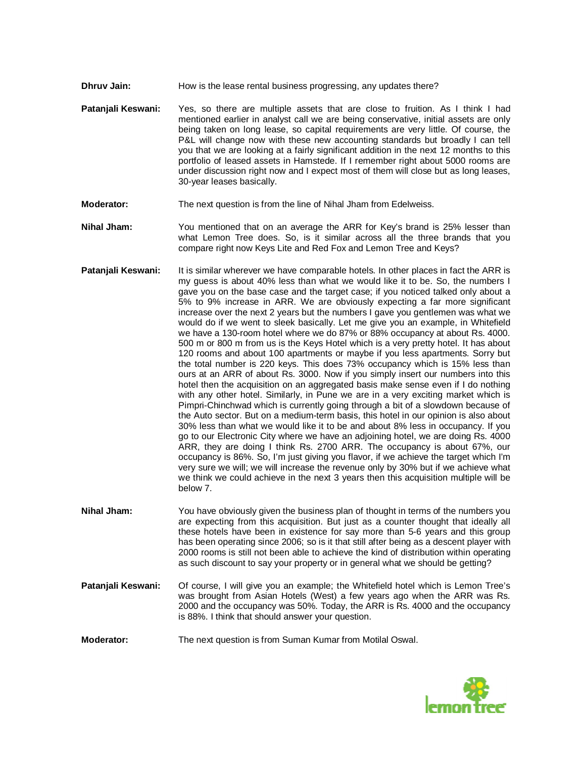- **Dhruv Jain:** How is the lease rental business progressing, any updates there?
- **Patanjali Keswani:** Yes, so there are multiple assets that are close to fruition. As I think I had mentioned earlier in analyst call we are being conservative, initial assets are only being taken on long lease, so capital requirements are very little. Of course, the P&L will change now with these new accounting standards but broadly I can tell you that we are looking at a fairly significant addition in the next 12 months to this portfolio of leased assets in Hamstede. If I remember right about 5000 rooms are under discussion right now and I expect most of them will close but as long leases, 30-year leases basically.
- **Moderator:** The next question is from the line of Nihal Jham from Edelweiss.
- **Nihal Jham:** You mentioned that on an average the ARR for Key's brand is 25% lesser than what Lemon Tree does. So, is it similar across all the three brands that you compare right now Keys Lite and Red Fox and Lemon Tree and Keys?
- **Patanjali Keswani:** It is similar wherever we have comparable hotels. In other places in fact the ARR is my guess is about 40% less than what we would like it to be. So, the numbers I gave you on the base case and the target case; if you noticed talked only about a 5% to 9% increase in ARR. We are obviously expecting a far more significant increase over the next 2 years but the numbers I gave you gentlemen was what we would do if we went to sleek basically. Let me give you an example, in Whitefield we have a 130-room hotel where we do 87% or 88% occupancy at about Rs. 4000. 500 m or 800 m from us is the Keys Hotel which is a very pretty hotel. It has about 120 rooms and about 100 apartments or maybe if you less apartments. Sorry but the total number is 220 keys. This does 73% occupancy which is 15% less than ours at an ARR of about Rs. 3000. Now if you simply insert our numbers into this hotel then the acquisition on an aggregated basis make sense even if I do nothing with any other hotel. Similarly, in Pune we are in a very exciting market which is Pimpri-Chinchwad which is currently going through a bit of a slowdown because of the Auto sector. But on a medium-term basis, this hotel in our opinion is also about 30% less than what we would like it to be and about 8% less in occupancy. If you go to our Electronic City where we have an adjoining hotel, we are doing Rs. 4000 ARR, they are doing I think Rs. 2700 ARR. The occupancy is about 67%, our occupancy is 86%. So, I'm just giving you flavor, if we achieve the target which I'm very sure we will; we will increase the revenue only by 30% but if we achieve what we think we could achieve in the next 3 years then this acquisition multiple will be below 7.
- **Nihal Jham:** You have obviously given the business plan of thought in terms of the numbers you are expecting from this acquisition. But just as a counter thought that ideally all these hotels have been in existence for say more than 5-6 years and this group has been operating since 2006; so is it that still after being as a descent player with 2000 rooms is still not been able to achieve the kind of distribution within operating as such discount to say your property or in general what we should be getting?
- **Patanjali Keswani:** Of course, I will give you an example; the Whitefield hotel which is Lemon Tree's was brought from Asian Hotels (West) a few years ago when the ARR was Rs. 2000 and the occupancy was 50%. Today, the ARR is Rs. 4000 and the occupancy is 88%. I think that should answer your question.

**Moderator:** The next question is from Suman Kumar from Motilal Oswal.